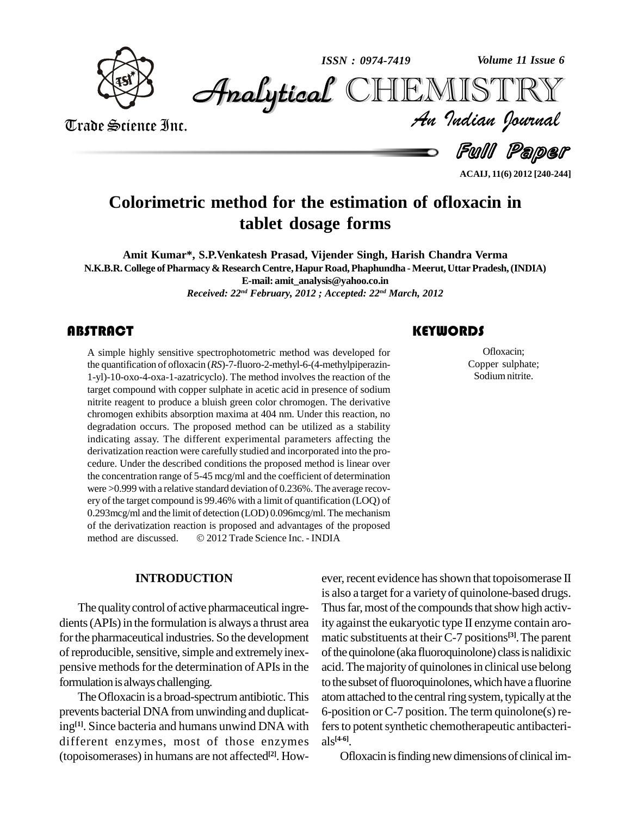

*Volume 11 Issue 6*



Trade Science Inc. Trade Science Inc.

*Volume 11 Issue 6*<br>IISTRY<br>Indian Iournal

Full Paper

**ACAIJ, 11(6) 2012 [240-244]**

# **Colorimetric method for the estimation of ofloxacin in tablet dosage forms**

**Amit Kumar\*, S.P.Venkatesh Prasad, Vijender Singh, Harish Chandra Verma N.K.B.R. College ofPharmacy & ResearchCentre,Hapur Road,Phaphundha -Meerut,Uttar Pradesh,(INDIA) E-mail: [amit\\_analysis@yahoo.co.in](mailto:amit_analysis@yahoo.co.in)** *Received: 22 nd February, 2012 ; Accepted: 22 nd March, 2012*

## **ABSTRACT**

A simple highly sensitive spectrophotometric method was developed for the quantification of ofloxacin ( $RS$ )-7-fluoro-2-methyl-6-(4-methylpiperazin-1-yl)-10-oxo-4-oxa-1-azatricyclo). The method involves the reaction of the A simple highly sensitive spectrophotometric method was developed for the quantification of ofloxacin (*RS*)-7-fluoro-2-methyl-6-(4-methylpiperazin target compound with copper sulphate in acetic acid in presence of sodium nitrite reagent to produce a bluish green color chromogen. The derivative chromogen exhibits absorption maxima at 404 nm. Under this reaction, no degradation occurs. The proposed method can be utilized as a stability indicating assay. The different experimental parameters affecting the derivatization reaction were carefully studied and incorporated into the pro cedure. Under the described conditions the proposed method is linear over the concentration range of 5-45 mcg/ml and the coefficient of determination were >0.999 with a relative standard deviation of 0.236%. The average recov ery of the target compound is99.46% with a limit of quantification (LOQ) of 0.293mcg/ml and the limit of detection (LOD) 0.096mcg/ml. The mechanism<br>of the derivatization reaction is proposed and advantages of the proposed<br>method are discussed. © 2012 Trade Science Inc. - INDIA of the derivatization reaction is proposed and advantages of the proposed method are discussed.  $\textcircled{2012}$  Trade Science Inc. - INDIA

### **INTRODUCTION**

The quality control of active pharmaceutical ingredients (APIs) in the formulation is always a thrust area for the pharmaceutical industries. So the development of reproducible, sensitive, simple and extremely inexpensive methods for the determination of APIs in the formulation is always challenging.

The Ofloxacin is a broad-spectrum antibiotic. This prevents bacterial DNA from unwinding and duplicating<sup>[1]</sup>. Since bacteria and humans unwind DNA with fers to different enzymes, most of those enzymes (topoisomerases) in humans are not affected **[2]**. How-

ever, recent evidence has shown that topoisomerase II is also a target for a variety of quinolone-based drugs. Thus far, most of the compounds that show high activity against the eukaryotic type IIenzyme contain aro matic substituents attheirC-7 positions **[3]**.The parent of the quinolone (aka fluoroquinolone) class is nalidixic acid. The majority of quinolones in clinical use belong to the subset of fluoroquinolones, which have a fluorine atom attached to the central ring system, typically at the 6-position or  $C-7$  position. The term quinolone(s) refers to potent synthetic chemotherapeutic antibacterials **[4-6]**.

Ofloxacin is finding new dimensions of clinical im-

## **KEYWORDS**

Ofloxacin;<br>Copper sulpha<br>Sodium nitrite Ofloxacin; Copper sulphate; Sodium nitrite.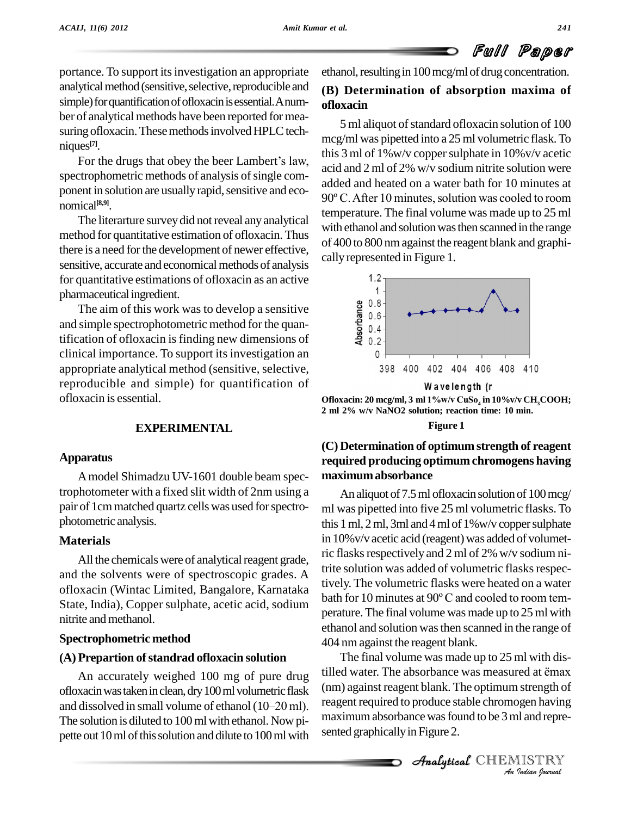

portance. To support its investigation an appropriate analytical method (sensitive, selective, reproducible and simple) for quantification of ofloxacin is essential. Anumber of analytical methods have been reported for mea suring of loxacin. These methods involved HPLC techniques **[7]**.

For the drugs that obey the beer Lambert's law, spectrophometric methods of analysis of single comnomical **[8,9]**.

The literarture survey did not reveal any analytical method for quantitative estimation of ofloxacin. Thus there is a need for the development of newer effective, sensitive, accurate and economical methods of analysis for quantitative estimations of ofloxacin as an active pharmaceutical ingredient.

The aim of this work was to develop a sensitive and simple spectrophotometric method for the quantification of ofloxacin isfinding new dimensions of Framateurial improbance.<br>The aim of this work was to develop a sensitive<br>and simple spectrophotometric method for the quan-<br>tification of ofloxacin is finding new dimensions of<br>clinical importance. To support its investig appropriate analytical method (sensitive, selective, reproducible and simple) for quantification of ofloxacin isessential.

## **EXPERIMENTAL**

#### **Apparatus**

Amodel Shimadzu UV-1601 double beam spectrophotometer with a fixed slit width of 2nm using a pair of 1cmmatched quartz cells was used forspectro photometric analysis.

### **Materials**

All the chemicals were of analytical reagent grade, and the solvents were of spectroscopic grades. A ofloxacin (Wintac Limited, Bangalore, Karnataka State, India), Copper sulphate, acetic acid, sodium nitrite and methanol.

#### **Spectrophometric method**

#### **(A) Prepartion ofstandrad ofloxacin solution**

ofloxacin was taken in clean, dry 100 ml volumetric flask (nm) as An accurately weighed 100 mg of pure drug<br>ofloxacin was taken in clean, dry 100 ml volumetric flask (n<br>and dissolved in small volume of ethanol (10–20 ml). The solution is diluted to 100 ml with ethanol. Now pipette out 10 ml of this solution and dilute to 100 ml with

ethanol, resulting in 100 mcg/ml of drug concentration.

# **(B) Determination of absorption maxima of ofloxacin**

ponent in solution are usually rapid, sensitive and eco-<br> $90^{\circ}$ C. After 10 minutes, solution was cooled to room 5 ml aliquot of standard ofloxacin solution of 100 mcg/ml was pipetted into a 25 ml volumetric flask.To this 3 ml of 1%w/v coppersulphate in 10%v/v acetic acid and 2 ml of 2% w/v sodium nitrite solution were added and heated on a water bath for 10 minutes at acid and 2 ml of 2% w/v sodium nitrite solution were<br>added and heated on a water bath for 10 minutes at<br>90° C. After 10 minutes, solution was cooled to room temperature. The final volume was made up to 25 ml with ethanol and solution was then scanned in the range of 400 to 800 nmagainst the reagent blank and graphi cally represented in Figure 1.



**Ofloxacin:** 20 mcg/ml, 3 ml 1%w/v CuSo<sub>4</sub> in 10%v/v CH<sub>3</sub>COOH; **2** W a velength (r<br>22 **ml** 2% w/v NaNO2 solution; reaction time: 10 min.<br>22 ml 2% w/v NaNO2 solution; reaction time: 10 min.

#### **Figure 1**

# **(C) Determination of optimum strength of reagent required producing optimum chromogens having maximumabsorbance**

An aliquot of 7.5 ml of loxacin solution of 100 mcg/ ml was pipetted into five 25 ml volumetric flasks. To this 1 ml, 2 ml, 3ml and 4 ml of  $1\%$  w/v copper sulphate in 10% v/v acetic acid (reagent) was added of volumetric flasks respectively and 2 ml of 2% w/v sodium nitrite solution was added of volumetric flasks respectively. The volumetric flasks were heated on a water bath for <sup>10</sup> minutes at <sup>90</sup><sup>º</sup> <sup>C</sup> and cooled to room tem perature.The final volume was made up to 25 ml with ethanol and solution wasthen scanned in the range of 404 nm against the reagent blank.

(nm) against reagent blank. The optimum strength of *I* strength of<br>*I* and repre-<br>IISTRY<br>*Indian hournal* An accurately weighed 100 mg of pure drug tilled water. The absorbance was measured at  $\ddot{e}$  max The final volume was made up to 25 ml with dis-404 nm against the reagent blank.<br>The final volume was made up to 25 ml with distilled water. The absorbance was measured at ẽmax reagent required to produce stable chromogen having maximum absorbance was found to be 3 ml and represented graphically in Figure 2.

Analytical CHEMISTRY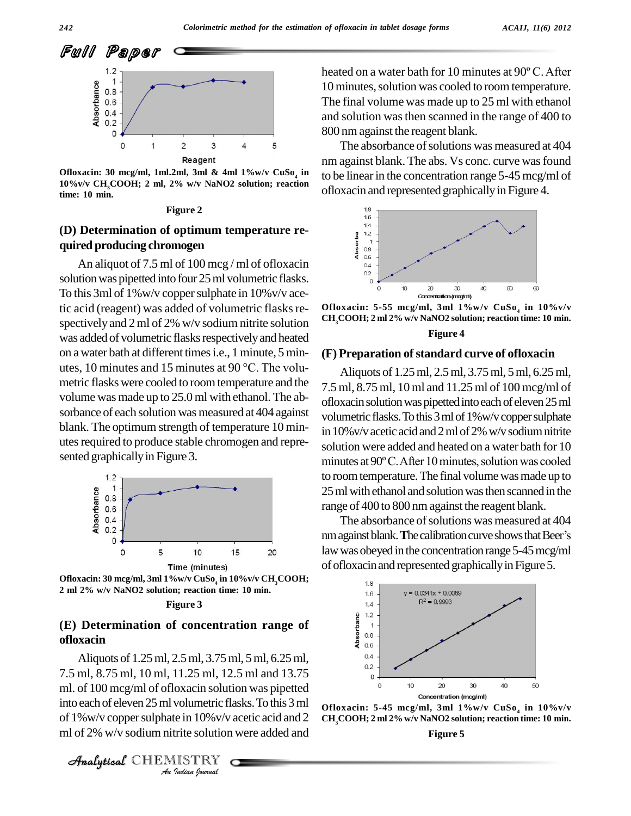

**Ofloxacin: 30 mcg/ml, 1ml.2ml, 3ml & 4ml 1%w/v CuSo<sup>4</sup> 10%v/v CH3COOH; 2 ml, 2% w/v NaNO2 solution; reaction time: 10 min.**

#### **Figure 2**

# **(D) Determination of optimum temperature re quired producing chromogen** Determination of optimum temperature re-<br>red producing chromogen<br>An aliquot of 7.5 ml of 100 mcg/ml of ofloxacin

solution was pipetted into four 25 ml volumetric flasks. To this 3ml of 1%w/v copper sulphate in 10% v/v acetic acid (reagent) was added of volumetric flasks re-<br>  $CH_2COOH; 2 ml 2\% w/v$  NaNO2 solution; reaction time: 10 min.<br>  $CH_2COOH; 2 ml 2\% w/v$  NaNO2 solution; reaction time: 10 min. spectively and 2ml of 2% w/v sodium nitrite solution was added of volumetric flasks respectively and heated on a water bath at different timesi.e., 1 minute, 5 min utes, <sup>10</sup> minutes and <sup>15</sup> minutes at <sup>90</sup> °C. The volu metric flaskswere cooled to roomtemperature and the volume was made up to 25.0 ml with ethanol. The ab sorbance of each solution was measured at 404 against blank. The optimum strength of temperature 10 min utes required to produce stable chromogen and represented graphically in Figure 3.



**Ofloxacin: 30 mcg/ml, 3ml 1%w/v CuSo<sup>4</sup> in 10%v/v CH3COOH; 2 I**me (minutes)<br>2 **ml** 2% w/v NaNO2 solution; reaction time: 10 min.<br>2 ml 2% w/v NaNO2 solution; reaction time: 10 min.

#### **Figure 3**

### **(E) Determination of concentration range of ofloxacin**

ml. of 100 mcg/ml of ofloxacin solution was pipetted *Indian*<br> *Indian*<br> *Indian*<br> *ISTRY*<br> *ISTRY*<br> *Indian Journal* Aliquots of 1.25ml, 2.5ml, 3.75ml, 5ml, 6.25ml, 7.5 ml, 8.75 ml, 10 ml, 11.25 ml, 12.5 ml and 13.75 into each of eleven 25 ml volumetric flasks. To this 3 ml  $_{\text{OF}}$ of 1%w/v copper sulphate in 10% v/v acetic acid and 2 CH<sub>3</sub>COOH; 2 ml 2% w/v NaNO2 solution; reaction time: 10 min. ml of 2% w/v sodium nitrite solution were added and

heated on <sup>a</sup> water bath for <sup>10</sup> minutes at <sup>90</sup><sup>º</sup> C.After 10 minutes, solution was cooled to room temperature. The final volume was made up to 25 ml with ethanol and solution wasthen scanned in the range of 400 to 800 nm against the reagent blank.

**in** to be linearin the concentration range 5-45 mcg/ml of The absorbance of solutions was measured at 404 nm against blank. The abs. Vs conc. curve wasfound ofloxacin and represented graphicallyin Figure 4.





#### **(F) Preparation ofstandard curve of ofloxacin**

Aliquots of 1.25ml, 2.5ml, 3.75ml, 5ml, 6.25ml, 7.5 ml, 8.75 ml, 10 ml and 11.25 ml of 100 mcg/ml of ofloxacin solution was pipetted into each of eleven 25 ml volumetric flasks. To this 3 ml of 1%w/v copper sulphate in 10%v/v acetic acid and 2 ml of 2% w/v sodium nitrite<br>solution were added and heated on a water bath for 10<br>minutes at 90° C. After 10 minutes, solution was cooled solution were added and heated on a water bath for 10 to room temperature. The final volume was made up to 25 ml with ethanol and solution was then scanned in the range of 400 to 800 nm against the reagent blank.

The absorbance of solutions was measured at 404 nm against blank. The calibration curve shows that Beer's law was obeyed in the concentration range 5-45 mcg/ml of ofloxacin and represented graphically in Figure 5.







Analytical CHEMISTRY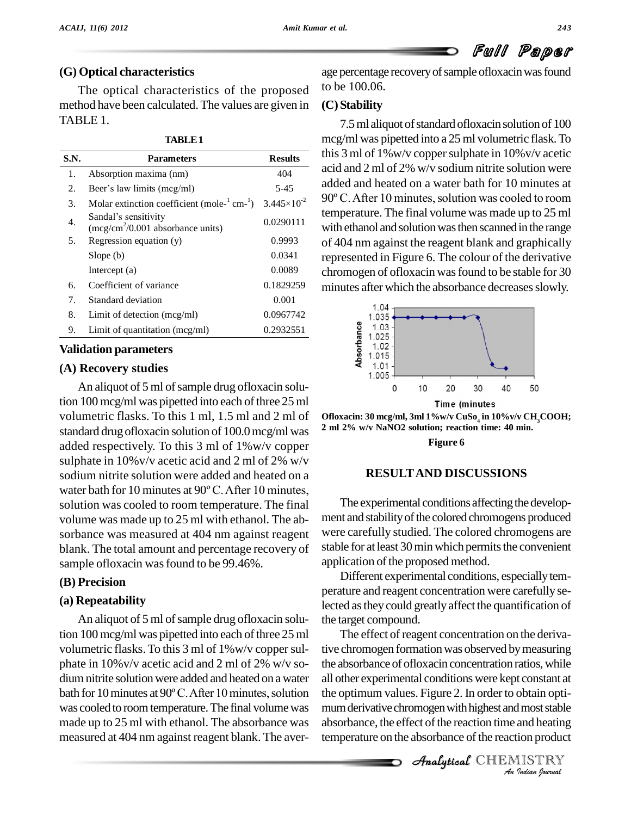## **(G) Optical characteristics**

The optical characteristics of the proposed method have been calculated. The values are given in TABLE 1.

| TABLE 1 |  |
|---------|--|
|---------|--|

| S.N. | <b>Parameters</b>                                          | <b>Results</b>         |
|------|------------------------------------------------------------|------------------------|
| 1.   | Absorption maxima (nm)                                     | 404                    |
| 2.   | Beer's law limits (mcg/ml)                                 | $5 - 45$               |
| 3.   | Molar extinction coefficient (mole- $1$ cm- $1$ )          | $3.445 \times 10^{-2}$ |
| 4.   | Sandal's sensitivity<br>$(mcg/cm2/0.001$ absorbance units) | 0.0290111              |
| 5.   | Regression equation (y)                                    | 0.9993                 |
|      | Slope(b)                                                   | 0.0341                 |
|      | Intercept $(a)$                                            | 0.0089                 |
| б.   | Coefficient of variance                                    | 0.1829259              |
| 7.   | Standard deviation                                         | 0.001                  |
| 8.   | Limit of detection (mcg/ml)                                | 0.0967742              |
| 9.   | Limit of quantitation $(mcg/ml)$                           | 0.2932551              |

#### **Validation parameters**

### **(A) Recovery studies**

An aliquot of 5 ml of sample drug of loxacin solution 100 mcg/ml was pipetted into each of three 25 ml volumetric flasks. To this 1 ml, 1.5 ml and 2 ml of Ofloxacin: 30 mcg/ml, 3ml 1%w/v CuSo<sub>4</sub> in 10%w/v Ct ortorderd drug of loxacin solution of 100.0 mog/ml uses  $\frac{2 \text{ ml}}{2\%}$  w/v NaNO2 solution; reaction time: 40 min. standard drug ofloxacin solution of 100.0mcg/ml was added respectively. To this 3 ml of 1%w/v copper sulphate in 10%v/v acetic acid and 2 ml of 2% w/v sodium nitrite solution were added and heated on a sulphate in 10% v/v acetic acid and 2 ml of 2% w/v<br>sodium nitrite solution were added and heated on a<br>water bath for 10 minutes at 90° C. After 10 minutes, solution was cooled to room temperature. The final volume was made up to 25 ml with ethanol. The ab sorbance was measured at 404 nm against reagent blank. The total amount and percentage recovery of sample of loxacin was found to be 99.46%.

### **(B) Precision**

### **(a) Repeatability**

An aliquot of 5 ml of sample drug of loxacin solution 100 mcg/ml was pipetted into each of three 25 ml volumetric flasks.To this 3 ml of 1%w/v coppersul phate in 10%v/v acetic acid and 2 ml of 2% w/v so dium nitrite solution were added and heated on a water all o phate in 10% v/v acetic acid and 2 ml of 2% w/v so-<br>dium nitrite solution were added and heated on a water all othe<br>bath for 10 minutes at 90°C. After 10 minutes, solution the opt was cooled to room temperature. The final volume was made up to 25 ml with ethanol. The absorbance was measured at 404 nm against reagent blank. The aver-

age percentage recovery of sample of loxacin was found to be 100.06.

## **(C) Stability**

 $\alpha$  acid and 2 ml of 2% w/v sodium nitrite solution were<br>added and heated on a water bath for 10 minutes at<br> $\alpha$  90° C. After 10 minutes, solution was cooled to room 7.5 ml aliquot of standard of loxacin solution of 100 mcg/ml was pipetted into a 25 ml volumetric flask.To this 3 ml of 1%w/v coppersulphate in 10%v/v acetic acid and 2 ml of 2% w/v sodium nitrite solution were added and heated on a water bath for 10 minutes at temperature. The final volume was made up to 25 ml with ethanol and solution was then scanned in the range of 404 nm against the reagent blank and graphically represented in Figure 6. The colour of the derivative chromogen of ofloxacin wasfound to be stable for 30 minutes after which the absorbance decreases slowly.



**Ofloxacin: 30 mcg/ml, 3ml 1%w/v CuSo<sup>4</sup> in 10%v/v CH3COOH; 2 I me** (minutes)<br>2 **Diloxacin: 30 mcg/ml, 3ml 1%w/v CuSo<sub>4</sub> in 10%v/v CH<sub>3</sub>CO<br>2 ml 2% w/v NaNO2 solution; reaction time: 40 min.** 

**Figure 6**

### **RESULTAND DISCUSSIONS**

The experimental conditions affecting the development and stability of the colored chromogens produced were carefully studied. The colored chromogens are stable for at least 30 min which permits the convenient application of the proposed method.

Different experimental conditions, especiallytem perature and reagent concentration were carefully selected asthey could greatlyaffect the quantification of the target compound.

*An*all other experimental conditions were kept constant at *I*<br>*Indian optimost stable<br>and heating<br><i>I***ISTRY<br>Indian Iournal** the optimum values. Figure 2. In order to obtain opti-The effect of reagent concentration on the derivative chromogen formation was observed by measuring the absorbance of ofloxacin concentration ratios, while mum derivative chromogen with highest and most stable absorbance, the effect of the reaction time and heating temperature on the absorbance of the reaction product

**Analytical** CHEMISTRY